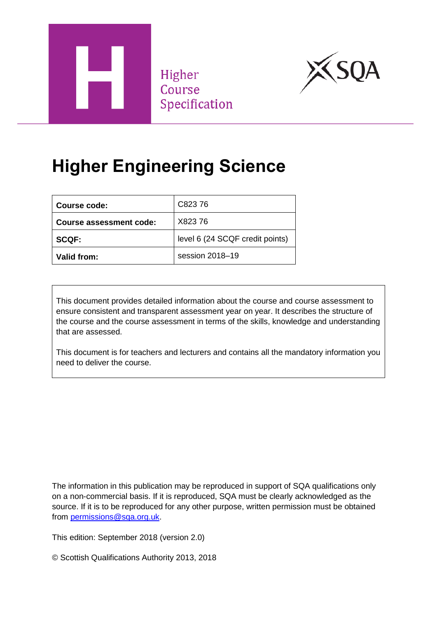

Higher Course Specification



# **Higher Engineering Science**

| Course code:            | C82376                          |
|-------------------------|---------------------------------|
| Course assessment code: | X82376                          |
| <b>SCQF:</b>            | level 6 (24 SCQF credit points) |
| Valid from:             | session 2018-19                 |

This document provides detailed information about the course and course assessment to ensure consistent and transparent assessment year on year. It describes the structure of the course and the course assessment in terms of the skills, knowledge and understanding that are assessed.

This document is for teachers and lecturers and contains all the mandatory information you need to deliver the course.

The information in this publication may be reproduced in support of SQA qualifications only on a non-commercial basis. If it is reproduced, SQA must be clearly acknowledged as the source. If it is to be reproduced for any other purpose, written permission must be obtained from [permissions@sqa.org.uk.](mailto:permissions@sqa.org.uk)

This edition: September 2018 (version 2.0)

© Scottish Qualifications Authority 2013, 2018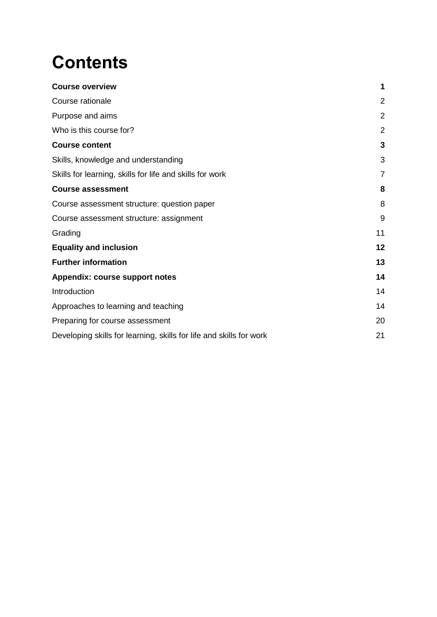# **Contents**

| <b>Course overview</b>                                              | 1              |
|---------------------------------------------------------------------|----------------|
| Course rationale                                                    | $\overline{2}$ |
| Purpose and aims                                                    | $\overline{2}$ |
| Who is this course for?                                             | $\overline{2}$ |
| <b>Course content</b>                                               | 3              |
| Skills, knowledge and understanding                                 | 3              |
| Skills for learning, skills for life and skills for work            | $\overline{7}$ |
| <b>Course assessment</b>                                            | 8              |
| Course assessment structure: question paper                         | 8              |
| Course assessment structure: assignment                             | 9              |
| Grading                                                             | 11             |
| <b>Equality and inclusion</b>                                       | 12             |
| <b>Further information</b>                                          | 13             |
| Appendix: course support notes                                      | 14             |
| Introduction                                                        | 14             |
| Approaches to learning and teaching                                 | 14             |
| Preparing for course assessment                                     | 20             |
| Developing skills for learning, skills for life and skills for work | 21             |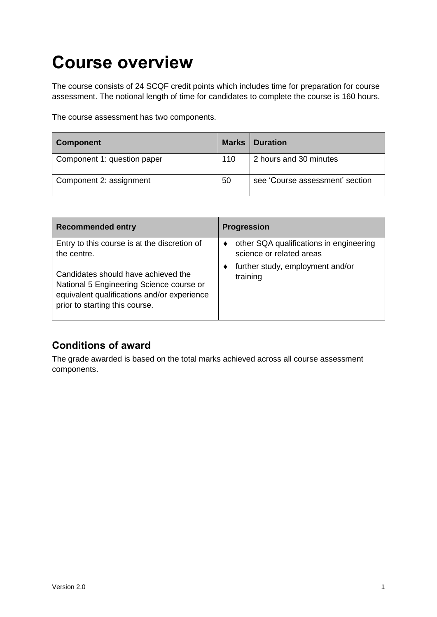# <span id="page-2-0"></span>**Course overview**

The course consists of 24 SCQF credit points which includes time for preparation for course assessment. The notional length of time for candidates to complete the course is 160 hours.

The course assessment has two components.

| <b>Component</b>            | <b>Marks</b> | <b>Duration</b>                 |
|-----------------------------|--------------|---------------------------------|
| Component 1: question paper | 110          | 2 hours and 30 minutes          |
| Component 2: assignment     | 50           | see 'Course assessment' section |

| <b>Recommended entry</b>                                                                                                                                         | <b>Progression</b>                                                  |
|------------------------------------------------------------------------------------------------------------------------------------------------------------------|---------------------------------------------------------------------|
| Entry to this course is at the discretion of<br>the centre.                                                                                                      | other SQA qualifications in engineering<br>science or related areas |
| Candidates should have achieved the<br>National 5 Engineering Science course or<br>equivalent qualifications and/or experience<br>prior to starting this course. | further study, employment and/or<br>training                        |

#### **Conditions of award**

The grade awarded is based on the total marks achieved across all course assessment components.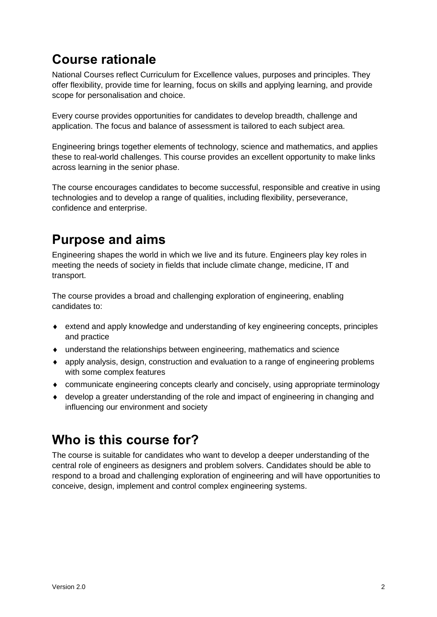# <span id="page-3-0"></span>**Course rationale**

National Courses reflect Curriculum for Excellence values, purposes and principles. They offer flexibility, provide time for learning, focus on skills and applying learning, and provide scope for personalisation and choice.

Every course provides opportunities for candidates to develop breadth, challenge and application. The focus and balance of assessment is tailored to each subject area.

Engineering brings together elements of technology, science and mathematics, and applies these to real-world challenges. This course provides an excellent opportunity to make links across learning in the senior phase.

The course encourages candidates to become successful, responsible and creative in using technologies and to develop a range of qualities, including flexibility, perseverance, confidence and enterprise.

# <span id="page-3-1"></span>**Purpose and aims**

Engineering shapes the world in which we live and its future. Engineers play key roles in meeting the needs of society in fields that include climate change, medicine, IT and transport.

The course provides a broad and challenging exploration of engineering, enabling candidates to:

- extend and apply knowledge and understanding of key engineering concepts, principles and practice
- understand the relationships between engineering, mathematics and science
- apply analysis, design, construction and evaluation to a range of engineering problems with some complex features
- communicate engineering concepts clearly and concisely, using appropriate terminology
- develop a greater understanding of the role and impact of engineering in changing and influencing our environment and society

## <span id="page-3-2"></span>**Who is this course for?**

The course is suitable for candidates who want to develop a deeper understanding of the central role of engineers as designers and problem solvers. Candidates should be able to respond to a broad and challenging exploration of engineering and will have opportunities to conceive, design, implement and control complex engineering systems.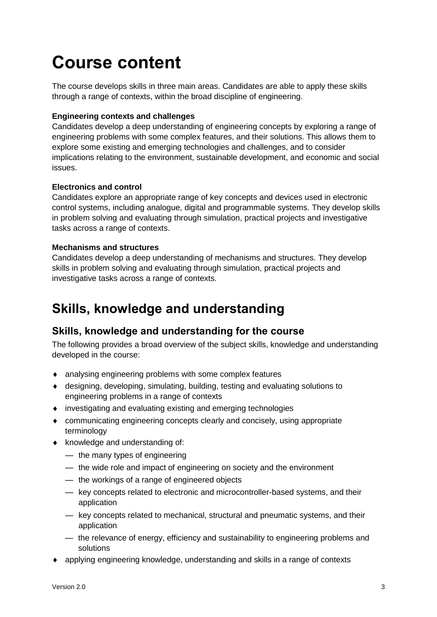# <span id="page-4-0"></span>**Course content**

The course develops skills in three main areas. Candidates are able to apply these skills through a range of contexts, within the broad discipline of engineering.

#### **Engineering contexts and challenges**

Candidates develop a deep understanding of engineering concepts by exploring a range of engineering problems with some complex features, and their solutions. This allows them to explore some existing and emerging technologies and challenges, and to consider implications relating to the environment, sustainable development, and economic and social issues.

#### **Electronics and control**

Candidates explore an appropriate range of key concepts and devices used in electronic control systems, including analogue, digital and programmable systems. They develop skills in problem solving and evaluating through simulation, practical projects and investigative tasks across a range of contexts.

#### **Mechanisms and structures**

Candidates develop a deep understanding of mechanisms and structures. They develop skills in problem solving and evaluating through simulation, practical projects and investigative tasks across a range of contexts.

# <span id="page-4-1"></span>**Skills, knowledge and understanding**

#### **Skills, knowledge and understanding for the course**

The following provides a broad overview of the subject skills, knowledge and understanding developed in the course:

- analysing engineering problems with some complex features
- designing, developing, simulating, building, testing and evaluating solutions to engineering problems in a range of contexts
- investigating and evaluating existing and emerging technologies
- communicating engineering concepts clearly and concisely, using appropriate terminology
- knowledge and understanding of:
	- the many types of engineering
	- the wide role and impact of engineering on society and the environment
	- the workings of a range of engineered objects
	- key concepts related to electronic and microcontroller-based systems, and their application
	- key concepts related to mechanical, structural and pneumatic systems, and their application
	- the relevance of energy, efficiency and sustainability to engineering problems and solutions
- applying engineering knowledge, understanding and skills in a range of contexts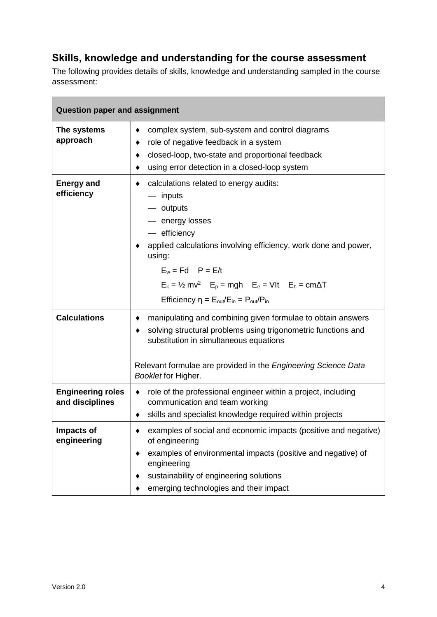### **Skills, knowledge and understanding for the course assessment**

The following provides details of skills, knowledge and understanding sampled in the course assessment:

| <b>Question paper and assignment</b>        |                                                                                                                                                                                                                                                                                                                                                                              |  |  |
|---------------------------------------------|------------------------------------------------------------------------------------------------------------------------------------------------------------------------------------------------------------------------------------------------------------------------------------------------------------------------------------------------------------------------------|--|--|
| The systems<br>approach                     | complex system, sub-system and control diagrams<br>role of negative feedback in a system<br>closed-loop, two-state and proportional feedback<br>٠<br>using error detection in a closed-loop system                                                                                                                                                                           |  |  |
| <b>Energy and</b><br>efficiency             | calculations related to energy audits:<br>— inputs<br>- outputs<br>- energy losses<br>- efficiency<br>applied calculations involving efficiency, work done and power,<br>using:<br>$E_w = Fd$ $P = E/t$<br>$E_k = \frac{1}{2}$ mv <sup>2</sup> $E_p = mgh$ $E_e = Vlt$ $E_h = cm\Delta T$<br>Efficiency $\eta = E_{\text{out}}/E_{\text{in}} = P_{\text{out}}/P_{\text{in}}$ |  |  |
| <b>Calculations</b>                         | manipulating and combining given formulae to obtain answers<br>solving structural problems using trigonometric functions and<br>substitution in simultaneous equations<br>Relevant formulae are provided in the Engineering Science Data<br>Booklet for Higher.                                                                                                              |  |  |
| <b>Engineering roles</b><br>and disciplines | role of the professional engineer within a project, including<br>٠<br>communication and team working<br>skills and specialist knowledge required within projects                                                                                                                                                                                                             |  |  |
| Impacts of<br>engineering                   | examples of social and economic impacts (positive and negative)<br>of engineering<br>examples of environmental impacts (positive and negative) of<br>engineering<br>sustainability of engineering solutions<br>emerging technologies and their impact                                                                                                                        |  |  |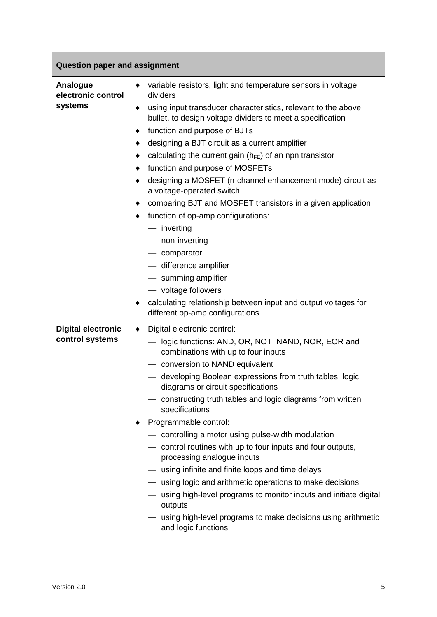| <b>Question paper and assignment</b>         |                                                                                                                                                                                                                                                                                                                                                                                                                                                                                                                                                                                                                                                                                                                                                                                                                                                   |  |  |
|----------------------------------------------|---------------------------------------------------------------------------------------------------------------------------------------------------------------------------------------------------------------------------------------------------------------------------------------------------------------------------------------------------------------------------------------------------------------------------------------------------------------------------------------------------------------------------------------------------------------------------------------------------------------------------------------------------------------------------------------------------------------------------------------------------------------------------------------------------------------------------------------------------|--|--|
| Analogue<br>electronic control<br>systems    | variable resistors, light and temperature sensors in voltage<br>٠<br>dividers<br>using input transducer characteristics, relevant to the above<br>٠<br>bullet, to design voltage dividers to meet a specification<br>function and purpose of BJTs<br>designing a BJT circuit as a current amplifier<br>calculating the current gain ( $h_{FE}$ ) of an npn transistor<br>٠<br>function and purpose of MOSFETs<br>designing a MOSFET (n-channel enhancement mode) circuit as<br>a voltage-operated switch<br>comparing BJT and MOSFET transistors in a given application<br>function of op-amp configurations:<br>٠<br>- inverting<br>- non-inverting<br>- comparator<br>- difference amplifier<br>- summing amplifier<br>- voltage followers<br>calculating relationship between input and output voltages for<br>different op-amp configurations |  |  |
| <b>Digital electronic</b><br>control systems | Digital electronic control:<br>٠<br>logic functions: AND, OR, NOT, NAND, NOR, EOR and<br>combinations with up to four inputs<br>- conversion to NAND equivalent<br>- developing Boolean expressions from truth tables, logic<br>diagrams or circuit specifications<br>constructing truth tables and logic diagrams from written<br>specifications<br>Programmable control:<br>- controlling a motor using pulse-width modulation<br>- control routines with up to four inputs and four outputs,<br>processing analogue inputs<br>- using infinite and finite loops and time delays<br>- using logic and arithmetic operations to make decisions<br>using high-level programs to monitor inputs and initiate digital<br>outputs<br>using high-level programs to make decisions using arithmetic<br>and logic functions                             |  |  |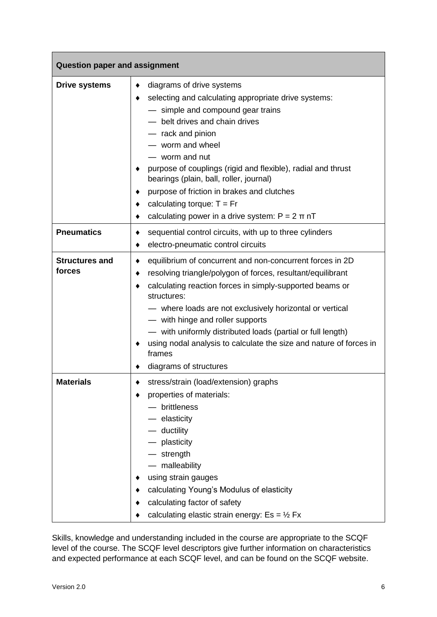| <b>Question paper and assignment</b> |                                                                                                                                                                                                                                                                                                                                                                                                                                                                                             |  |  |
|--------------------------------------|---------------------------------------------------------------------------------------------------------------------------------------------------------------------------------------------------------------------------------------------------------------------------------------------------------------------------------------------------------------------------------------------------------------------------------------------------------------------------------------------|--|--|
| <b>Drive systems</b>                 | diagrams of drive systems<br>٠<br>selecting and calculating appropriate drive systems:<br>٠<br>- simple and compound gear trains<br>- belt drives and chain drives<br>- rack and pinion<br>- worm and wheel<br>- worm and nut<br>purpose of couplings (rigid and flexible), radial and thrust<br>bearings (plain, ball, roller, journal)<br>purpose of friction in brakes and clutches<br>calculating torque: $T = Fr$<br>٠<br>calculating power in a drive system: $P = 2 \pi nT$<br>٠     |  |  |
| <b>Pneumatics</b>                    | sequential control circuits, with up to three cylinders<br>٠<br>electro-pneumatic control circuits<br>٠                                                                                                                                                                                                                                                                                                                                                                                     |  |  |
| <b>Structures and</b><br>forces      | equilibrium of concurrent and non-concurrent forces in 2D<br>٠<br>resolving triangle/polygon of forces, resultant/equilibrant<br>٠<br>calculating reaction forces in simply-supported beams or<br>٠<br>structures:<br>- where loads are not exclusively horizontal or vertical<br>- with hinge and roller supports<br>- with uniformly distributed loads (partial or full length)<br>using nodal analysis to calculate the size and nature of forces in<br>frames<br>diagrams of structures |  |  |
| Materials                            | stress/strain (load/extension) graphs<br>properties of materials:<br>brittleness<br>- elasticity<br>$-$ ductility<br>- plasticity<br>$-$ strength<br>- malleability<br>using strain gauges<br>calculating Young's Modulus of elasticity<br>calculating factor of safety<br>calculating elastic strain energy: $Es = \frac{1}{2} Fix$                                                                                                                                                        |  |  |

Skills, knowledge and understanding included in the course are appropriate to the SCQF level of the course. The SCQF level descriptors give further information on characteristics and expected performance at each SCQF level, and can be found on the SCQF website.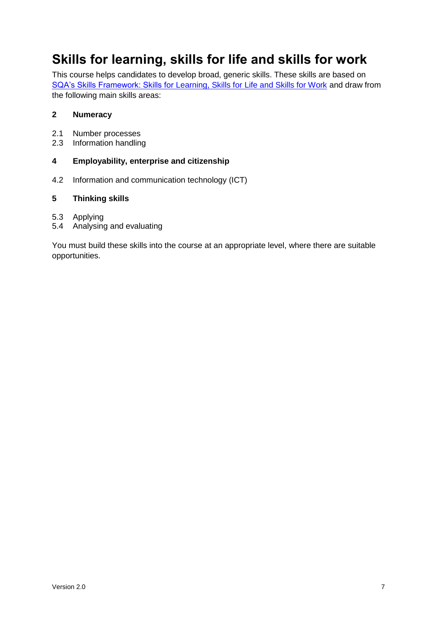# <span id="page-8-0"></span>**Skills for learning, skills for life and skills for work**

This course helps candidates to develop broad, generic skills. These skills are based on [SQA's Skills Framework: Skills for Learning, Skills for Life and Skills for Work](http://www.sqa.org.uk/sqa/63101.html) and draw from the following main skills areas:

#### **2 Numeracy**

- 2.1 Number processes<br>2.3 Information handlin
- Information handling

#### **4 Employability, enterprise and citizenship**

4.2 Information and communication technology (ICT)

#### **5 Thinking skills**

- 5.3 Applying
- 5.4 Analysing and evaluating

You must build these skills into the course at an appropriate level, where there are suitable opportunities.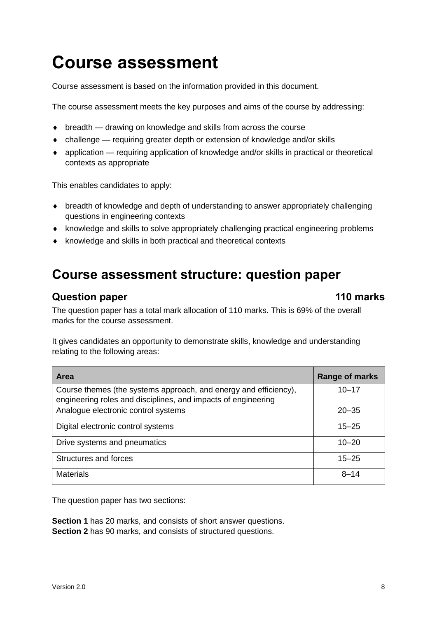# <span id="page-9-0"></span>**Course assessment**

Course assessment is based on the information provided in this document.

The course assessment meets the key purposes and aims of the course by addressing:

- breadth drawing on knowledge and skills from across the course
- challenge requiring greater depth or extension of knowledge and/or skills
- application requiring application of knowledge and/or skills in practical or theoretical contexts as appropriate

This enables candidates to apply:

- breadth of knowledge and depth of understanding to answer appropriately challenging questions in engineering contexts
- knowledge and skills to solve appropriately challenging practical engineering problems
- $\bullet$  knowledge and skills in both practical and theoretical contexts

### <span id="page-9-1"></span>**Course assessment structure: question paper**

#### **Question paper 110 marks**

The question paper has a total mark allocation of 110 marks. This is 69% of the overall marks for the course assessment.

It gives candidates an opportunity to demonstrate skills, knowledge and understanding relating to the following areas:

| Area                                                                                                                              | Range of marks |
|-----------------------------------------------------------------------------------------------------------------------------------|----------------|
| Course themes (the systems approach, and energy and efficiency),<br>engineering roles and disciplines, and impacts of engineering | $10 - 17$      |
| Analogue electronic control systems                                                                                               | $20 - 35$      |
| Digital electronic control systems                                                                                                | $15 - 25$      |
| Drive systems and pneumatics                                                                                                      | $10 - 20$      |
| Structures and forces                                                                                                             | $15 - 25$      |
| <b>Materials</b>                                                                                                                  | $8 - 14$       |

The question paper has two sections:

**Section 1** has 20 marks, and consists of short answer questions. **Section 2** has 90 marks, and consists of structured questions.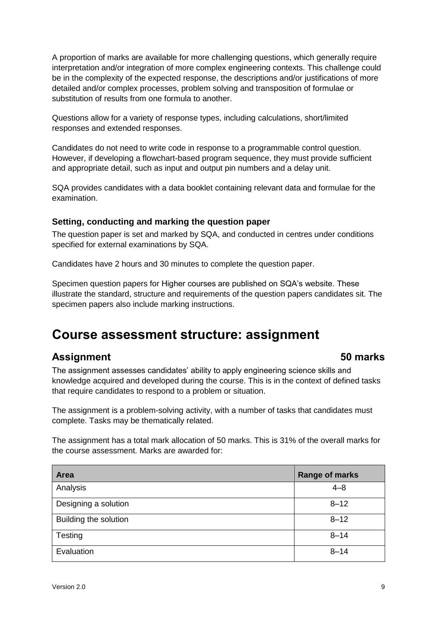A proportion of marks are available for more challenging questions, which generally require interpretation and/or integration of more complex engineering contexts. This challenge could be in the complexity of the expected response, the descriptions and/or justifications of more detailed and/or complex processes, problem solving and transposition of formulae or substitution of results from one formula to another.

Questions allow for a variety of response types, including calculations, short/limited responses and extended responses.

Candidates do not need to write code in response to a programmable control question. However, if developing a flowchart-based program sequence, they must provide sufficient and appropriate detail, such as input and output pin numbers and a delay unit.

SQA provides candidates with a data booklet containing relevant data and formulae for the examination.

#### **Setting, conducting and marking the question paper**

The question paper is set and marked by SQA, and conducted in centres under conditions specified for external examinations by SQA.

Candidates have 2 hours and 30 minutes to complete the question paper.

Specimen question papers for Higher courses are published on SQA's website. These illustrate the standard, structure and requirements of the question papers candidates sit. The specimen papers also include marking instructions.

### <span id="page-10-0"></span>**Course assessment structure: assignment**

#### **Assignment 50 marks**

The assignment assesses candidates' ability to apply engineering science skills and knowledge acquired and developed during the course. This is in the context of defined tasks that require candidates to respond to a problem or situation.

The assignment is a problem-solving activity, with a number of tasks that candidates must complete. Tasks may be thematically related.

The assignment has a total mark allocation of 50 marks. This is 31% of the overall marks for the course assessment. Marks are awarded for:

| Area                  | <b>Range of marks</b> |
|-----------------------|-----------------------|
| Analysis              | $4 - 8$               |
| Designing a solution  | $8 - 12$              |
| Building the solution | $8 - 12$              |
| Testing               | $8 - 14$              |
| Evaluation            | $8 - 14$              |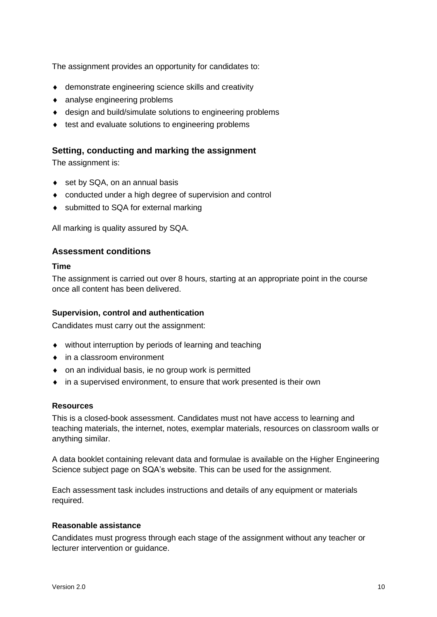The assignment provides an opportunity for candidates to:

- demonstrate engineering science skills and creativity
- analyse engineering problems
- design and build/simulate solutions to engineering problems
- $\bullet$  test and evaluate solutions to engineering problems

#### **Setting, conducting and marking the assignment**

The assignment is:

- ◆ set by SQA, on an annual basis
- conducted under a high degree of supervision and control
- submitted to SQA for external marking

All marking is quality assured by SQA.

#### **Assessment conditions**

#### **Time**

The assignment is carried out over 8 hours, starting at an appropriate point in the course once all content has been delivered.

#### **Supervision, control and authentication**

Candidates must carry out the assignment:

- without interruption by periods of learning and teaching
- in a classroom environment
- on an individual basis, ie no group work is permitted
- in a supervised environment, to ensure that work presented is their own

#### **Resources**

This is a closed-book assessment. Candidates must not have access to learning and teaching materials, the internet, notes, exemplar materials, resources on classroom walls or anything similar.

A data booklet containing relevant data and formulae is available on the Higher Engineering Science subject page on SQA's website. This can be used for the assignment.

Each assessment task includes instructions and details of any equipment or materials required.

#### **Reasonable assistance**

Candidates must progress through each stage of the assignment without any teacher or lecturer intervention or guidance.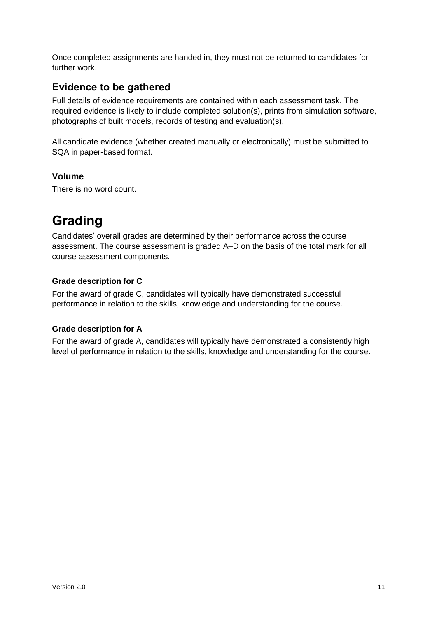Once completed assignments are handed in, they must not be returned to candidates for further work.

#### **Evidence to be gathered**

Full details of evidence requirements are contained within each assessment task. The required evidence is likely to include completed solution(s), prints from simulation software, photographs of built models, records of testing and evaluation(s).

All candidate evidence (whether created manually or electronically) must be submitted to SQA in paper-based format.

#### **Volume**

There is no word count.

# <span id="page-12-0"></span>**Grading**

Candidates' overall grades are determined by their performance across the course assessment. The course assessment is graded A–D on the basis of the total mark for all course assessment components.

#### **Grade description for C**

For the award of grade C, candidates will typically have demonstrated successful performance in relation to the skills, knowledge and understanding for the course.

#### **Grade description for A**

For the award of grade A, candidates will typically have demonstrated a consistently high level of performance in relation to the skills, knowledge and understanding for the course.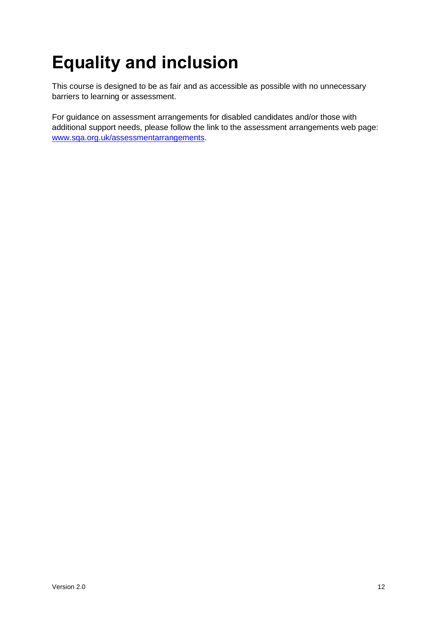# <span id="page-13-0"></span>**Equality and inclusion**

This course is designed to be as fair and as accessible as possible with no unnecessary barriers to learning or assessment.

For guidance on assessment arrangements for disabled candidates and/or those with additional support needs, please follow the link to the assessment arrangements web page: [www.sqa.org.uk/assessmentarrangements.](http://www.sqa.org.uk/assessmentarrangements)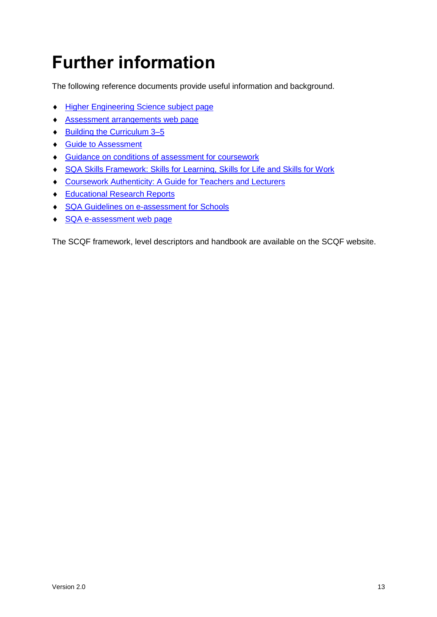# <span id="page-14-0"></span>**Further information**

The following reference documents provide useful information and background.

- **+ Higher Engineering [Science subject page](http://www.sqa.org.uk/sqa/47928.html)**
- [Assessment arrangements web page](http://www.sqa.org.uk/assessmentarrangements)
- ◆ Building the Curriculum 3-5
- ◆ [Guide to Assessment](http://www.sqa.org.uk/sqa/2424.html)
- Guidance on conditions of [assessment for coursework](http://www.sqa.org.uk/sqa/files_ccc/Guidance_on_conditions_of_assessment_for_coursework.pdf)
- [SQA Skills Framework: Skills for Learning, Skills for Life and Skills for Work](http://www.sqa.org.uk/sqa/63101.html)
- [Coursework Authenticity: A Guide for Teachers and Lecturers](http://www.sqa.org.uk/sqa/1418.html)
- ◆ [Educational Research Reports](http://www.sqa.org.uk/sqa/35847.958.html)
- ◆ [SQA Guidelines on e-assessment for Schools](http://www.sqa.org.uk/sqa/2424.html)
- ◆ [SQA e-assessment web page](http://www.sqa.org.uk/sqa/68750.html)

The SCQF framework, level descriptors and handbook are available on the SCQF website.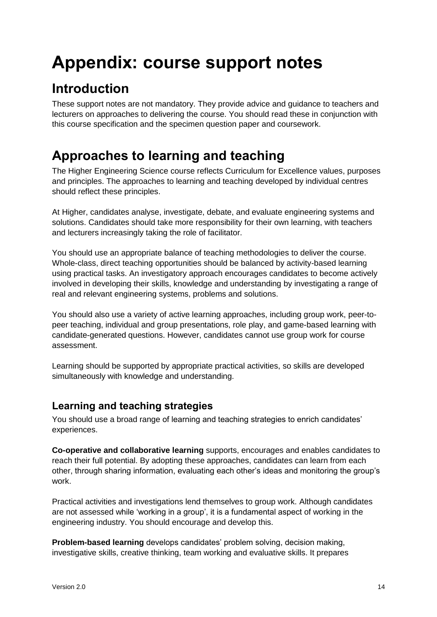# <span id="page-15-0"></span>**Appendix: course support notes**

# <span id="page-15-1"></span>**Introduction**

These support notes are not mandatory. They provide advice and guidance to teachers and lecturers on approaches to delivering the course. You should read these in conjunction with this course specification and the specimen question paper and coursework.

# <span id="page-15-2"></span>**Approaches to learning and teaching**

The Higher Engineering Science course reflects Curriculum for Excellence values, purposes and principles. The approaches to learning and teaching developed by individual centres should reflect these principles.

At Higher, candidates analyse, investigate, debate, and evaluate engineering systems and solutions. Candidates should take more responsibility for their own learning, with teachers and lecturers increasingly taking the role of facilitator.

You should use an appropriate balance of teaching methodologies to deliver the course. Whole-class, direct teaching opportunities should be balanced by activity-based learning using practical tasks. An investigatory approach encourages candidates to become actively involved in developing their skills, knowledge and understanding by investigating a range of real and relevant engineering systems, problems and solutions.

You should also use a variety of active learning approaches, including group work, peer-topeer teaching, individual and group presentations, role play, and game-based learning with candidate-generated questions. However, candidates cannot use group work for course assessment.

Learning should be supported by appropriate practical activities, so skills are developed simultaneously with knowledge and understanding.

### **Learning and teaching strategies**

You should use a broad range of learning and teaching strategies to enrich candidates' experiences.

**Co-operative and collaborative learning** supports, encourages and enables candidates to reach their full potential. By adopting these approaches, candidates can learn from each other, through sharing information, evaluating each other's ideas and monitoring the group's work.

Practical activities and investigations lend themselves to group work. Although candidates are not assessed while 'working in a group', it is a fundamental aspect of working in the engineering industry. You should encourage and develop this.

**Problem-based learning** develops candidates' problem solving, decision making, investigative skills, creative thinking, team working and evaluative skills. It prepares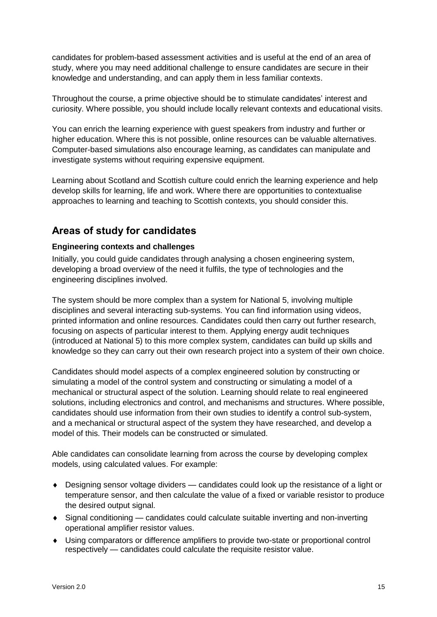candidates for problem-based assessment activities and is useful at the end of an area of study, where you may need additional challenge to ensure candidates are secure in their knowledge and understanding, and can apply them in less familiar contexts.

Throughout the course, a prime objective should be to stimulate candidates' interest and curiosity. Where possible, you should include locally relevant contexts and educational visits.

You can enrich the learning experience with guest speakers from industry and further or higher education. Where this is not possible, online resources can be valuable alternatives. Computer-based simulations also encourage learning, as candidates can manipulate and investigate systems without requiring expensive equipment.

Learning about Scotland and Scottish culture could enrich the learning experience and help develop skills for learning, life and work. Where there are opportunities to contextualise approaches to learning and teaching to Scottish contexts, you should consider this.

### **Areas of study for candidates**

#### **Engineering contexts and challenges**

Initially, you could guide candidates through analysing a chosen engineering system, developing a broad overview of the need it fulfils, the type of technologies and the engineering disciplines involved.

The system should be more complex than a system for National 5, involving multiple disciplines and several interacting sub-systems. You can find information using videos, printed information and online resources. Candidates could then carry out further research, focusing on aspects of particular interest to them. Applying energy audit techniques (introduced at National 5) to this more complex system, candidates can build up skills and knowledge so they can carry out their own research project into a system of their own choice.

Candidates should model aspects of a complex engineered solution by constructing or simulating a model of the control system and constructing or simulating a model of a mechanical or structural aspect of the solution. Learning should relate to real engineered solutions, including electronics and control, and mechanisms and structures. Where possible, candidates should use information from their own studies to identify a control sub-system, and a mechanical or structural aspect of the system they have researched, and develop a model of this. Their models can be constructed or simulated.

Able candidates can consolidate learning from across the course by developing complex models, using calculated values. For example:

- Designing sensor voltage dividers candidates could look up the resistance of a light or temperature sensor, and then calculate the value of a fixed or variable resistor to produce the desired output signal.
- Signal conditioning candidates could calculate suitable inverting and non-inverting operational amplifier resistor values.
- Using comparators or difference amplifiers to provide two-state or proportional control respectively — candidates could calculate the requisite resistor value.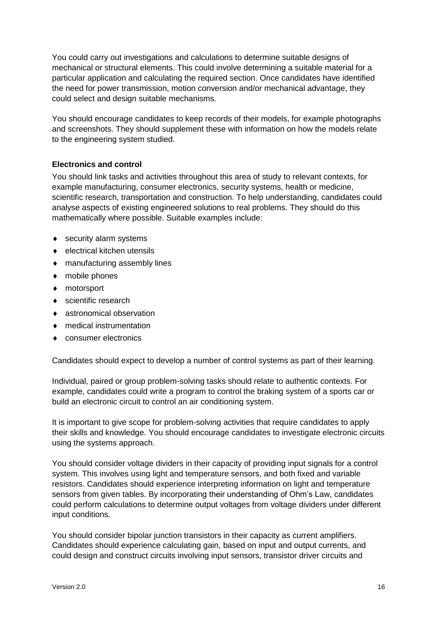You could carry out investigations and calculations to determine suitable designs of mechanical or structural elements. This could involve determining a suitable material for a particular application and calculating the required section. Once candidates have identified the need for power transmission, motion conversion and/or mechanical advantage, they could select and design suitable mechanisms.

You should encourage candidates to keep records of their models, for example photographs and screenshots. They should supplement these with information on how the models relate to the engineering system studied.

#### **Electronics and control**

You should link tasks and activities throughout this area of study to relevant contexts, for example manufacturing, consumer electronics, security systems, health or medicine, scientific research, transportation and construction. To help understanding, candidates could analyse aspects of existing engineered solutions to real problems. They should do this mathematically where possible. Suitable examples include:

- ◆ security alarm systems
- ◆ electrical kitchen utensils
- manufacturing assembly lines
- mobile phones
- ◆ motorsport
- ◆ scientific research
- astronomical observation
- medical instrumentation
- consumer electronics

Candidates should expect to develop a number of control systems as part of their learning.

Individual, paired or group problem-solving tasks should relate to authentic contexts. For example, candidates could write a program to control the braking system of a sports car or build an electronic circuit to control an air conditioning system.

It is important to give scope for problem-solving activities that require candidates to apply their skills and knowledge. You should encourage candidates to investigate electronic circuits using the systems approach.

You should consider voltage dividers in their capacity of providing input signals for a control system. This involves using light and temperature sensors, and both fixed and variable resistors. Candidates should experience interpreting information on light and temperature sensors from given tables. By incorporating their understanding of Ohm's Law, candidates could perform calculations to determine output voltages from voltage dividers under different input conditions.

You should consider bipolar junction transistors in their capacity as current amplifiers. Candidates should experience calculating gain, based on input and output currents, and could design and construct circuits involving input sensors, transistor driver circuits and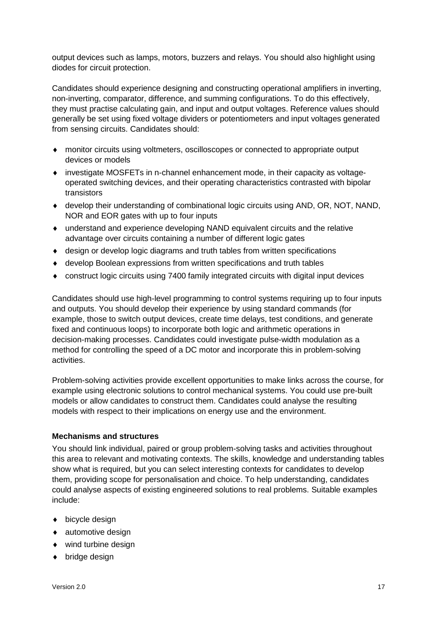output devices such as lamps, motors, buzzers and relays. You should also highlight using diodes for circuit protection.

Candidates should experience designing and constructing operational amplifiers in inverting, non-inverting, comparator, difference, and summing configurations. To do this effectively, they must practise calculating gain, and input and output voltages. Reference values should generally be set using fixed voltage dividers or potentiometers and input voltages generated from sensing circuits. Candidates should:

- monitor circuits using voltmeters, oscilloscopes or connected to appropriate output devices or models
- investigate MOSFETs in n-channel enhancement mode, in their capacity as voltageoperated switching devices, and their operating characteristics contrasted with bipolar transistors
- develop their understanding of combinational logic circuits using AND, OR, NOT, NAND, NOR and EOR gates with up to four inputs
- understand and experience developing NAND equivalent circuits and the relative advantage over circuits containing a number of different logic gates
- design or develop logic diagrams and truth tables from written specifications
- develop Boolean expressions from written specifications and truth tables
- construct logic circuits using 7400 family integrated circuits with digital input devices

Candidates should use high-level programming to control systems requiring up to four inputs and outputs. You should develop their experience by using standard commands (for example, those to switch output devices, create time delays, test conditions, and generate fixed and continuous loops) to incorporate both logic and arithmetic operations in decision-making processes. Candidates could investigate pulse-width modulation as a method for controlling the speed of a DC motor and incorporate this in problem-solving activities.

Problem-solving activities provide excellent opportunities to make links across the course, for example using electronic solutions to control mechanical systems. You could use pre-built models or allow candidates to construct them. Candidates could analyse the resulting models with respect to their implications on energy use and the environment.

#### **Mechanisms and structures**

You should link individual, paired or group problem-solving tasks and activities throughout this area to relevant and motivating contexts. The skills, knowledge and understanding tables show what is required, but you can select interesting contexts for candidates to develop them, providing scope for personalisation and choice. To help understanding, candidates could analyse aspects of existing engineered solutions to real problems. Suitable examples include:

- $\bullet$  bicycle design
- automotive design
- wind turbine design
- ◆ bridge design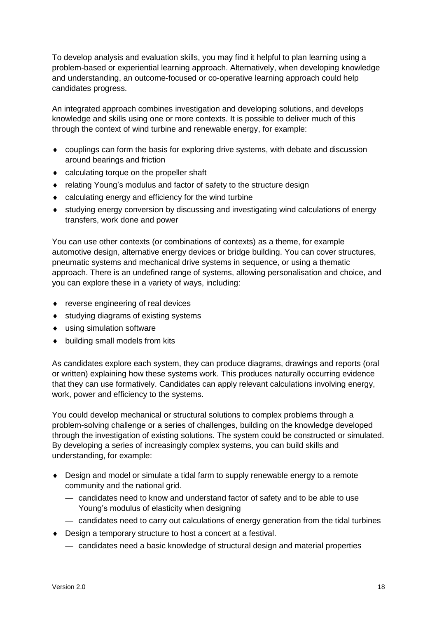To develop analysis and evaluation skills, you may find it helpful to plan learning using a problem-based or experiential learning approach. Alternatively, when developing knowledge and understanding, an outcome-focused or co-operative learning approach could help candidates progress.

An integrated approach combines investigation and developing solutions, and develops knowledge and skills using one or more contexts. It is possible to deliver much of this through the context of wind turbine and renewable energy, for example:

- couplings can form the basis for exploring drive systems, with debate and discussion around bearings and friction
- calculating torque on the propeller shaft
- relating Young's modulus and factor of safety to the structure design
- calculating energy and efficiency for the wind turbine
- studying energy conversion by discussing and investigating wind calculations of energy transfers, work done and power

You can use other contexts (or combinations of contexts) as a theme, for example automotive design, alternative energy devices or bridge building. You can cover structures, pneumatic systems and mechanical drive systems in sequence, or using a thematic approach. There is an undefined range of systems, allowing personalisation and choice, and you can explore these in a variety of ways, including:

- ◆ reverse engineering of real devices
- studying diagrams of existing systems
- using simulation software
- $\bullet$  building small models from kits

As candidates explore each system, they can produce diagrams, drawings and reports (oral or written) explaining how these systems work. This produces naturally occurring evidence that they can use formatively. Candidates can apply relevant calculations involving energy, work, power and efficiency to the systems.

You could develop mechanical or structural solutions to complex problems through a problem-solving challenge or a series of challenges, building on the knowledge developed through the investigation of existing solutions. The system could be constructed or simulated. By developing a series of increasingly complex systems, you can build skills and understanding, for example:

- Design and model or simulate a tidal farm to supply renewable energy to a remote community and the national grid.
	- candidates need to know and understand factor of safety and to be able to use Young's modulus of elasticity when designing
	- candidates need to carry out calculations of energy generation from the tidal turbines
- ◆ Design a temporary structure to host a concert at a festival.
	- candidates need a basic knowledge of structural design and material properties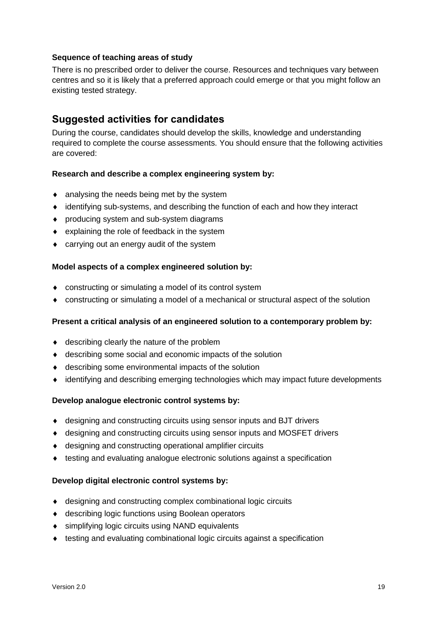#### **Sequence of teaching areas of study**

There is no prescribed order to deliver the course. Resources and techniques vary between centres and so it is likely that a preferred approach could emerge or that you might follow an existing tested strategy.

#### **Suggested activities for candidates**

During the course, candidates should develop the skills, knowledge and understanding required to complete the course assessments. You should ensure that the following activities are covered:

#### **Research and describe a complex engineering system by:**

- analysing the needs being met by the system
- identifying sub-systems, and describing the function of each and how they interact
- producing system and sub-system diagrams
- explaining the role of feedback in the system
- carrying out an energy audit of the system

#### **Model aspects of a complex engineered solution by:**

- constructing or simulating a model of its control system
- constructing or simulating a model of a mechanical or structural aspect of the solution

#### **Present a critical analysis of an engineered solution to a contemporary problem by:**

- ◆ describing clearly the nature of the problem
- describing some social and economic impacts of the solution
- describing some environmental impacts of the solution
- identifying and describing emerging technologies which may impact future developments

#### **Develop analogue electronic control systems by:**

- designing and constructing circuits using sensor inputs and BJT drivers
- designing and constructing circuits using sensor inputs and MOSFET drivers
- designing and constructing operational amplifier circuits
- testing and evaluating analogue electronic solutions against a specification

#### **Develop digital electronic control systems by:**

- designing and constructing complex combinational logic circuits
- describing logic functions using Boolean operators
- ◆ simplifying logic circuits using NAND equivalents
- testing and evaluating combinational logic circuits against a specification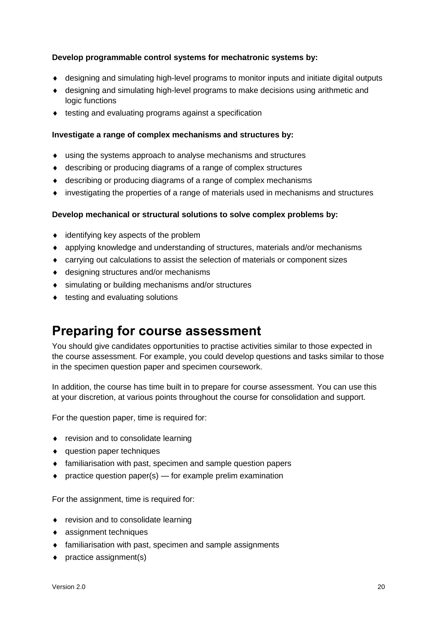#### **Develop programmable control systems for mechatronic systems by:**

- designing and simulating high-level programs to monitor inputs and initiate digital outputs
- designing and simulating high-level programs to make decisions using arithmetic and logic functions
- $\bullet$  testing and evaluating programs against a specification

#### **Investigate a range of complex mechanisms and structures by:**

- using the systems approach to analyse mechanisms and structures
- describing or producing diagrams of a range of complex structures
- describing or producing diagrams of a range of complex mechanisms
- investigating the properties of a range of materials used in mechanisms and structures

#### **Develop mechanical or structural solutions to solve complex problems by:**

- identifying key aspects of the problem
- applying knowledge and understanding of structures, materials and/or mechanisms
- carrying out calculations to assist the selection of materials or component sizes
- designing structures and/or mechanisms
- simulating or building mechanisms and/or structures
- $\bullet$  testing and evaluating solutions

### <span id="page-21-0"></span>**Preparing for course assessment**

You should give candidates opportunities to practise activities similar to those expected in the course assessment. For example, you could develop questions and tasks similar to those in the specimen question paper and specimen coursework.

In addition, the course has time built in to prepare for course assessment. You can use this at your discretion, at various points throughout the course for consolidation and support.

For the question paper, time is required for:

- revision and to consolidate learning
- question paper techniques
- familiarisation with past, specimen and sample question papers
- $\bullet$  practice question paper(s) for example prelim examination

For the assignment, time is required for:

- revision and to consolidate learning
- assignment techniques
- familiarisation with past, specimen and sample assignments
- ◆ practice assignment(s)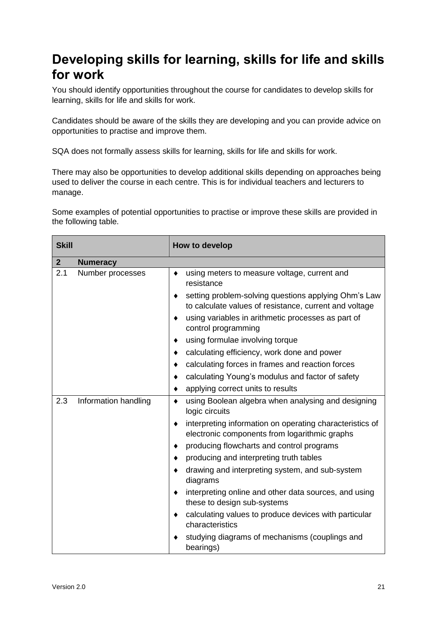### <span id="page-22-0"></span>**Developing skills for learning, skills for life and skills for work**

You should identify opportunities throughout the course for candidates to develop skills for learning, skills for life and skills for work.

Candidates should be aware of the skills they are developing and you can provide advice on opportunities to practise and improve them.

SQA does not formally assess skills for learning, skills for life and skills for work.

There may also be opportunities to develop additional skills depending on approaches being used to deliver the course in each centre. This is for individual teachers and lecturers to manage.

Some examples of potential opportunities to practise or improve these skills are provided in the following table.

| <b>Skill</b> |                      | How to develop                                                                                                 |
|--------------|----------------------|----------------------------------------------------------------------------------------------------------------|
| $\mathbf{2}$ | <b>Numeracy</b>      |                                                                                                                |
| 2.1          | Number processes     | using meters to measure voltage, current and<br>٠<br>resistance                                                |
|              |                      | setting problem-solving questions applying Ohm's Law<br>to calculate values of resistance, current and voltage |
|              |                      | using variables in arithmetic processes as part of<br>٠<br>control programming                                 |
|              |                      | using formulae involving torque<br>٠                                                                           |
|              |                      | calculating efficiency, work done and power<br>٠                                                               |
|              |                      | calculating forces in frames and reaction forces<br>٠                                                          |
|              |                      | calculating Young's modulus and factor of safety<br>٠                                                          |
|              |                      | applying correct units to results                                                                              |
| 2.3          | Information handling | using Boolean algebra when analysing and designing<br>٠<br>logic circuits                                      |
|              |                      | interpreting information on operating characteristics of<br>٠<br>electronic components from logarithmic graphs |
|              |                      | producing flowcharts and control programs<br>٠                                                                 |
|              |                      | producing and interpreting truth tables<br>٠                                                                   |
|              |                      | drawing and interpreting system, and sub-system<br>diagrams                                                    |
|              |                      | interpreting online and other data sources, and using<br>٠<br>these to design sub-systems                      |
|              |                      | calculating values to produce devices with particular<br>٠<br>characteristics                                  |
|              |                      | studying diagrams of mechanisms (couplings and<br>bearings)                                                    |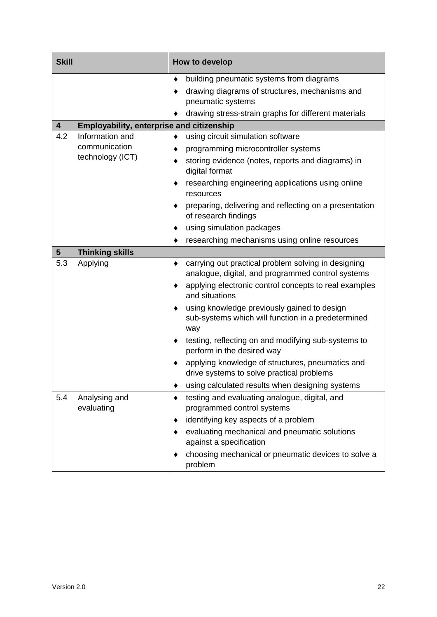| <b>Skill</b>                                                                | How to develop                                                                                           |
|-----------------------------------------------------------------------------|----------------------------------------------------------------------------------------------------------|
|                                                                             | building pneumatic systems from diagrams<br>٠                                                            |
|                                                                             | drawing diagrams of structures, mechanisms and<br>pneumatic systems                                      |
|                                                                             | drawing stress-strain graphs for different materials                                                     |
| <b>Employability, enterprise and citizenship</b><br>$\overline{\mathbf{4}}$ |                                                                                                          |
| Information and<br>4.2                                                      | using circuit simulation software<br>٠                                                                   |
| communication                                                               | programming microcontroller systems                                                                      |
| technology (ICT)                                                            | storing evidence (notes, reports and diagrams) in<br>digital format                                      |
|                                                                             | researching engineering applications using online<br>resources                                           |
|                                                                             | preparing, delivering and reflecting on a presentation<br>of research findings                           |
|                                                                             | using simulation packages                                                                                |
|                                                                             | researching mechanisms using online resources                                                            |
| <b>Thinking skills</b><br>$5\phantom{1}$                                    |                                                                                                          |
| 5.3<br>Applying                                                             | carrying out practical problem solving in designing<br>analogue, digital, and programmed control systems |
|                                                                             | applying electronic control concepts to real examples<br>and situations                                  |
|                                                                             | using knowledge previously gained to design<br>sub-systems which will function in a predetermined<br>way |
|                                                                             | testing, reflecting on and modifying sub-systems to<br>perform in the desired way                        |
|                                                                             | applying knowledge of structures, pneumatics and<br>drive systems to solve practical problems            |
|                                                                             | using calculated results when designing systems                                                          |
| 5.4<br>Analysing and<br>evaluating                                          | testing and evaluating analogue, digital, and<br>٠<br>programmed control systems                         |
|                                                                             | identifying key aspects of a problem                                                                     |
|                                                                             | evaluating mechanical and pneumatic solutions<br>against a specification                                 |
|                                                                             | choosing mechanical or pneumatic devices to solve a<br>problem                                           |